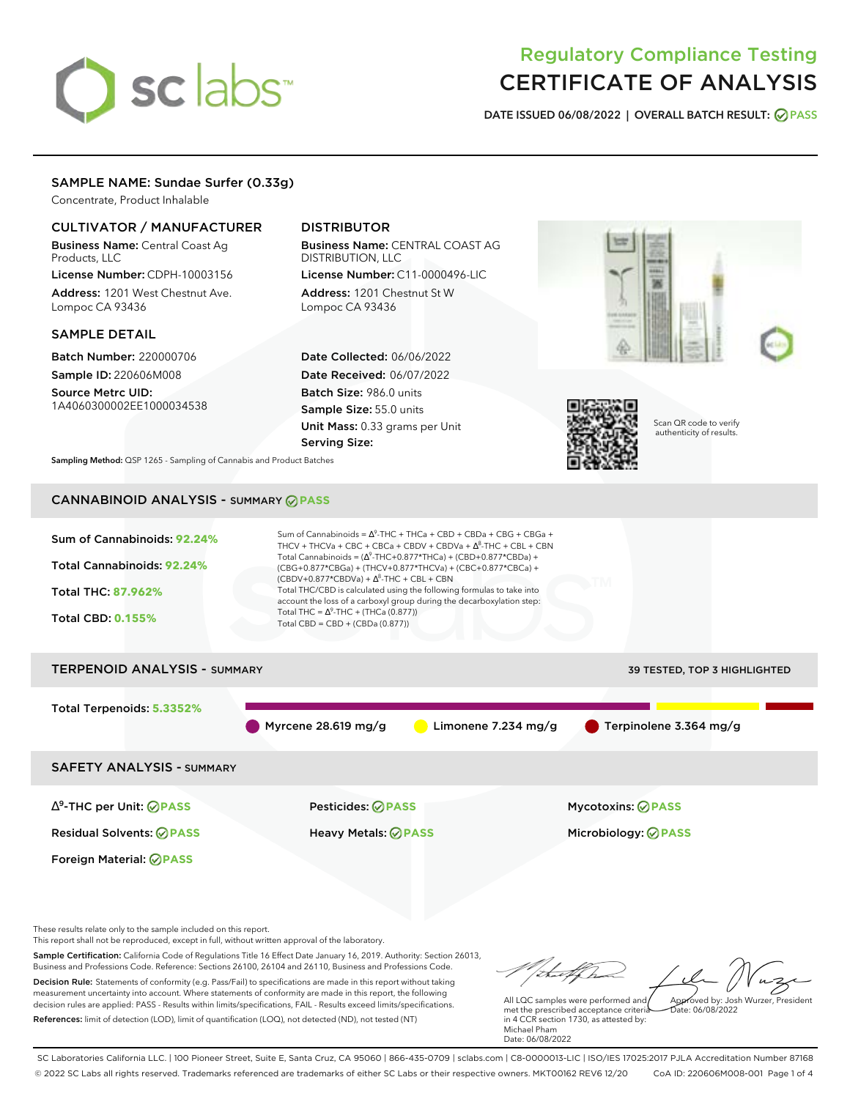# sclabs<sup>\*</sup>

# Regulatory Compliance Testing CERTIFICATE OF ANALYSIS

**DATE ISSUED 06/08/2022 | OVERALL BATCH RESULT: PASS**

# SAMPLE NAME: Sundae Surfer (0.33g)

Concentrate, Product Inhalable

# CULTIVATOR / MANUFACTURER

Business Name: Central Coast Ag Products, LLC

License Number: CDPH-10003156 Address: 1201 West Chestnut Ave. Lompoc CA 93436

## SAMPLE DETAIL

Batch Number: 220000706 Sample ID: 220606M008 Source Metrc UID: 1A4060300002EE1000034538

# DISTRIBUTOR

Business Name: CENTRAL COAST AG DISTRIBUTION, LLC License Number: C11-0000496-LIC

Address: 1201 Chestnut St W Lompoc CA 93436

Date Collected: 06/06/2022 Date Received: 06/07/2022 Batch Size: 986.0 units Sample Size: 55.0 units Unit Mass: 0.33 grams per Unit Serving Size:





Scan QR code to verify authenticity of results.

**Sampling Method:** QSP 1265 - Sampling of Cannabis and Product Batches

# CANNABINOID ANALYSIS - SUMMARY **PASS**

| Sum of Cannabinoids: 92.24% | Sum of Cannabinoids = $\Delta^9$ -THC + THCa + CBD + CBDa + CBG + CBGa +<br>THCV + THCVa + CBC + CBCa + CBDV + CBDVa + $\Delta^8$ -THC + CBL + CBN                                         |
|-----------------------------|--------------------------------------------------------------------------------------------------------------------------------------------------------------------------------------------|
| Total Cannabinoids: 92.24%  | Total Cannabinoids = $(\Delta^9$ -THC+0.877*THCa) + (CBD+0.877*CBDa) +<br>(CBG+0.877*CBGa) + (THCV+0.877*THCVa) + (CBC+0.877*CBCa) +<br>$(CBDV+0.877*CBDVa) + \Delta^{8}$ -THC + CBL + CBN |
| <b>Total THC: 87.962%</b>   | Total THC/CBD is calculated using the following formulas to take into<br>account the loss of a carboxyl group during the decarboxylation step:                                             |
| <b>Total CBD: 0.155%</b>    | Total THC = $\Delta^9$ -THC + (THCa (0.877))<br>Total CBD = $CBD + (CBDa (0.877))$                                                                                                         |
|                             |                                                                                                                                                                                            |

# TERPENOID ANALYSIS - SUMMARY 39 TESTED, TOP 3 HIGHLIGHTED Total Terpenoids: **5.3352%** Myrcene 28.619 mg/g  $\qquad \qquad$  Limonene 7.234 mg/g  $\qquad \qquad$  Terpinolene 3.364 mg/g SAFETY ANALYSIS - SUMMARY

∆ 9 -THC per Unit: **PASS** Pesticides: **PASS** Mycotoxins: **PASS**

Foreign Material: **PASS**

Residual Solvents: **PASS** Heavy Metals: **PASS** Microbiology: **PASS**

These results relate only to the sample included on this report.

This report shall not be reproduced, except in full, without written approval of the laboratory.

Sample Certification: California Code of Regulations Title 16 Effect Date January 16, 2019. Authority: Section 26013, Business and Professions Code. Reference: Sections 26100, 26104 and 26110, Business and Professions Code. Decision Rule: Statements of conformity (e.g. Pass/Fail) to specifications are made in this report without taking measurement uncertainty into account. Where statements of conformity are made in this report, the following decision rules are applied: PASS - Results within limits/specifications, FAIL - Results exceed limits/specifications.

References: limit of detection (LOD), limit of quantification (LOQ), not detected (ND), not tested (NT)

Approved by: Josh Wurzer, President

 $ate: 06/08/2022$ 

All LQC samples were performed and met the prescribed acceptance criteria in 4 CCR section 1730, as attested by: Michael Pham Date: 06/08/2022

SC Laboratories California LLC. | 100 Pioneer Street, Suite E, Santa Cruz, CA 95060 | 866-435-0709 | sclabs.com | C8-0000013-LIC | ISO/IES 17025:2017 PJLA Accreditation Number 87168 © 2022 SC Labs all rights reserved. Trademarks referenced are trademarks of either SC Labs or their respective owners. MKT00162 REV6 12/20 CoA ID: 220606M008-001 Page 1 of 4